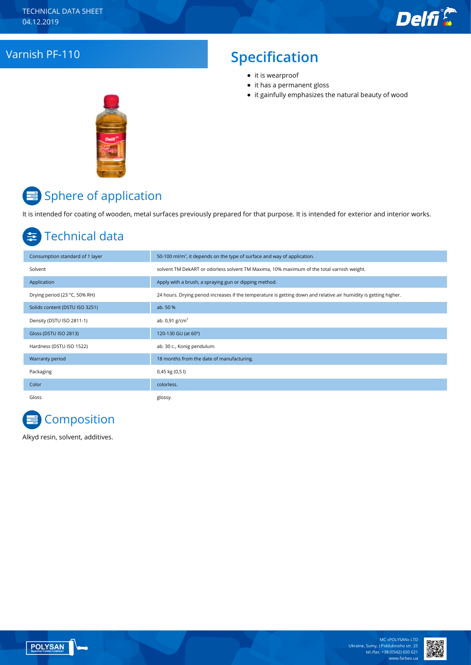# Varnish PF-110 **Specification**

- it is wearproof
- it has a permanent gloss
- it gainfully emphasizes the natural beauty of wood



# Sphere of application

It is intended for coating of wooden, metal surfaces previously prepared for that purpose. It is intended for exterior and interior works.

# Technical data

| Consumption standard of 1 layer | 50-100 ml/m <sup>2</sup> , it depends on the type of surface and way of application.                              |
|---------------------------------|-------------------------------------------------------------------------------------------------------------------|
| Solvent                         | solvent TM DekART or odorless solvent TM Maxima, 10% maximum of the total varnish weight.                         |
| Application                     | Apply with a brush, a spraying gun or dipping method.                                                             |
| Drying period (23 °C, 50% RH)   | 24 hours. Drying period increases if the temperature is getting down and relative air humidity is getting higher. |
| Solids content (DSTU ISO 3251)  | ab. 50 %                                                                                                          |
| Density (DSTU ISO 2811-1)       | ab. $0.91$ g/cm <sup>3</sup>                                                                                      |
| Gloss (DSTU ISO 2813)           | 120-130 GU (at 60°)                                                                                               |
| Hardness (DSTU ISO 1522)        | ab. 30 c., Konig pendulum.                                                                                        |
| Warranty period                 | 18 months from the date of manufacturing.                                                                         |
| Packaging                       | 0,45 kg (0,5 l)                                                                                                   |
| Color                           | colorless.                                                                                                        |
| Gloss                           | glossy.                                                                                                           |



Alkyd resin, solvent, additives.